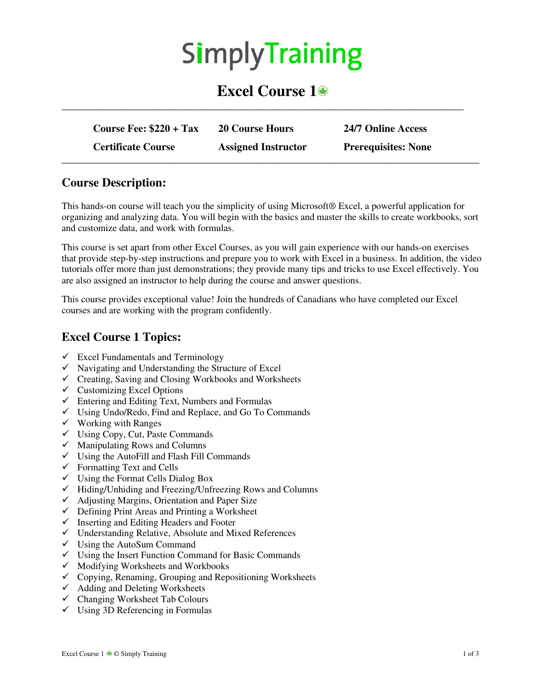# **SimplyTraining**

## **Excel Course 1**

| Course Fee: $$220 + Tax$  | <b>20 Course Hours</b>     | 24/7 Online Access         |
|---------------------------|----------------------------|----------------------------|
| <b>Certificate Course</b> | <b>Assigned Instructor</b> | <b>Prerequisites: None</b> |

**\_\_\_\_\_\_\_\_\_\_\_\_\_\_\_\_\_\_\_\_\_\_\_\_\_\_\_\_\_\_\_\_\_\_\_\_\_\_\_\_\_\_\_\_\_\_\_\_\_\_\_\_\_\_\_\_\_\_\_\_\_\_\_\_\_\_\_\_\_\_\_\_\_\_\_\_\_** 

#### **Course Description:**

This hands-on course will teach you the simplicity of using Microsoft® Excel, a powerful application for organizing and analyzing data. You will begin with the basics and master the skills to create workbooks, sort and customize data, and work with formulas.

This course is set apart from other Excel Courses, as you will gain experience with our hands-on exercises that provide step-by-step instructions and prepare you to work with Excel in a business. In addition, the video tutorials offer more than just demonstrations; they provide many tips and tricks to use Excel effectively. You are also assigned an instructor to help during the course and answer questions.

This course provides exceptional value! Join the hundreds of Canadians who have completed our Excel courses and are working with the program confidently.

#### **Excel Course 1 Topics:**

- $\checkmark$  Excel Fundamentals and Terminology
- $\checkmark$  Navigating and Understanding the Structure of Excel
- $\checkmark$  Creating, Saving and Closing Workbooks and Worksheets
- $\checkmark$  Customizing Excel Options
- $\checkmark$  Entering and Editing Text, Numbers and Formulas
- $\checkmark$  Using Undo/Redo, Find and Replace, and Go To Commands
- $\checkmark$  Working with Ranges
- $\checkmark$  Using Copy, Cut, Paste Commands
- $\checkmark$  Manipulating Rows and Columns
- $\checkmark$  Using the AutoFill and Flash Fill Commands
- $\checkmark$  Formatting Text and Cells
- $\checkmark$  Using the Format Cells Dialog Box
- $\checkmark$  Hiding/Unhiding and Freezing/Unfreezing Rows and Columns
- $\checkmark$  Adjusting Margins, Orientation and Paper Size
- $\checkmark$  Defining Print Areas and Printing a Worksheet
- $\checkmark$  Inserting and Editing Headers and Footer
- Understanding Relative, Absolute and Mixed References
- $\checkmark$  Using the AutoSum Command
- $\checkmark$  Using the Insert Function Command for Basic Commands
- $\checkmark$  Modifying Worksheets and Workbooks
- $\checkmark$  Copying, Renaming, Grouping and Repositioning Worksheets
- $\checkmark$  Adding and Deleting Worksheets
- $\checkmark$  Changing Worksheet Tab Colours
- $\checkmark$  Using 3D Referencing in Formulas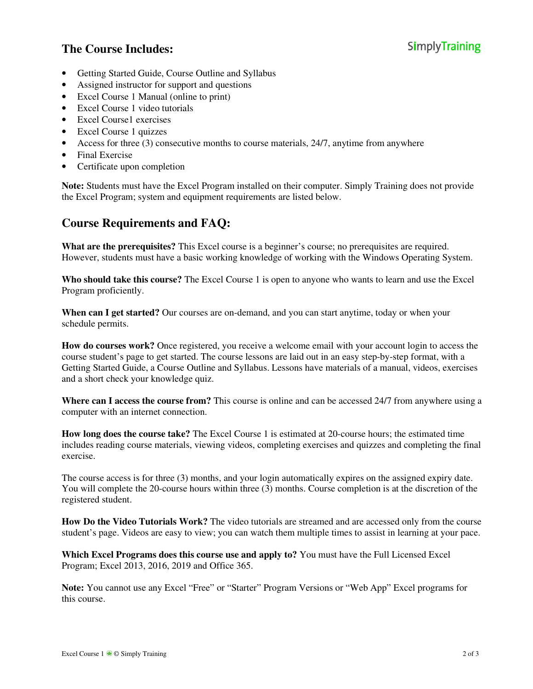### **The Course Includes:**

- Getting Started Guide, Course Outline and Syllabus
- Assigned instructor for support and questions
- Excel Course 1 Manual (online to print)
- Excel Course 1 video tutorials
- Excel Course1 exercises
- Excel Course 1 quizzes
- Access for three (3) consecutive months to course materials, 24/7, anytime from anywhere
- Final Exercise
- Certificate upon completion

**Note:** Students must have the Excel Program installed on their computer. Simply Training does not provide the Excel Program; system and equipment requirements are listed below.

#### **Course Requirements and FAQ:**

**What are the prerequisites?** This Excel course is a beginner's course; no prerequisites are required. However, students must have a basic working knowledge of working with the Windows Operating System.

**Who should take this course?** The Excel Course 1 is open to anyone who wants to learn and use the Excel Program proficiently.

**When can I get started?** Our courses are on-demand, and you can start anytime, today or when your schedule permits.

**How do courses work?** Once registered, you receive a welcome email with your account login to access the course student's page to get started. The course lessons are laid out in an easy step-by-step format, with a Getting Started Guide, a Course Outline and Syllabus. Lessons have materials of a manual, videos, exercises and a short check your knowledge quiz.

**Where can I access the course from?** This course is online and can be accessed 24/7 from anywhere using a computer with an internet connection.

**How long does the course take?** The Excel Course 1 is estimated at 20-course hours; the estimated time includes reading course materials, viewing videos, completing exercises and quizzes and completing the final exercise.

The course access is for three (3) months, and your login automatically expires on the assigned expiry date. You will complete the 20-course hours within three (3) months. Course completion is at the discretion of the registered student.

**How Do the Video Tutorials Work?** The video tutorials are streamed and are accessed only from the course student's page. Videos are easy to view; you can watch them multiple times to assist in learning at your pace.

**Which Excel Programs does this course use and apply to?** You must have the Full Licensed Excel Program; Excel 2013, 2016, 2019 and Office 365.

**Note:** You cannot use any Excel "Free" or "Starter" Program Versions or "Web App" Excel programs for this course.